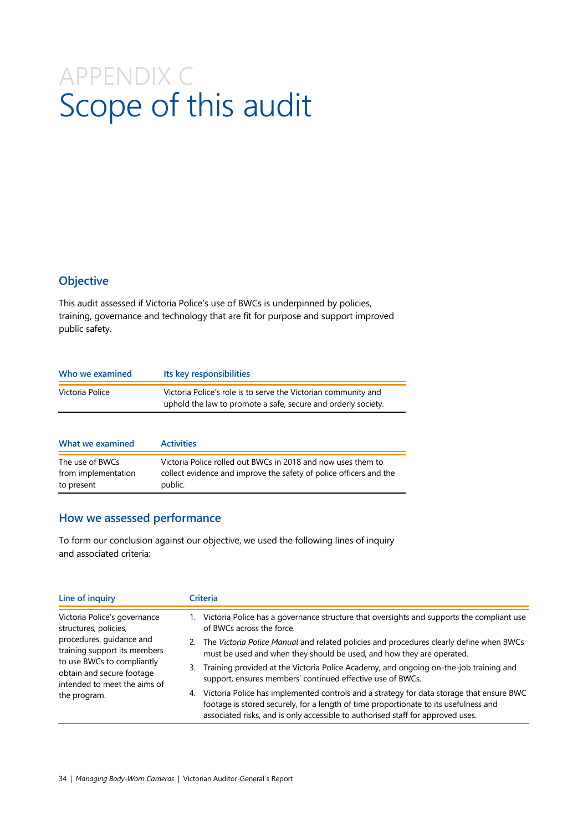# APPENDIX C Scope of this audit

## **Objective**

This audit assessed if Victoria Police's use of BWCs is underpinned by policies, training, governance and technology that are fit for purpose and support improved public safety.

| Who we examined  | Its key responsibilities                                                                                                        |
|------------------|---------------------------------------------------------------------------------------------------------------------------------|
| Victoria Police  | Victoria Police's role is to serve the Victorian community and<br>uphold the law to promote a safe, secure and orderly society. |
|                  |                                                                                                                                 |
| What we examined | <b>Activities</b>                                                                                                               |
| The use of BWCs  | Victoria Police rolled out BWCs in 2018 and now uses them to                                                                    |

| from implementation | collect evidence and improve the safety of police officers and the |
|---------------------|--------------------------------------------------------------------|
| to present          | public.                                                            |

### **How we assessed performance**

To form our conclusion against our objective, we used the following lines of inquiry and associated criteria:

| Line of inquiry<br>Victoria Police's governance<br>structures, policies,<br>procedures, guidance and<br>training support its members<br>to use BWCs to compliantly<br>obtain and secure footage<br>intended to meet the aims of<br>the program. |    | Criteria                                                                                                                                                                                                                                                            |  |  |  |
|-------------------------------------------------------------------------------------------------------------------------------------------------------------------------------------------------------------------------------------------------|----|---------------------------------------------------------------------------------------------------------------------------------------------------------------------------------------------------------------------------------------------------------------------|--|--|--|
|                                                                                                                                                                                                                                                 |    | Victoria Police has a governance structure that oversights and supports the compliant use<br>of BWCs across the force.                                                                                                                                              |  |  |  |
|                                                                                                                                                                                                                                                 | 2. | The Victoria Police Manual and related policies and procedures clearly define when BWCs<br>must be used and when they should be used, and how they are operated.                                                                                                    |  |  |  |
|                                                                                                                                                                                                                                                 | 3. | Training provided at the Victoria Police Academy, and ongoing on-the-job training and<br>support, ensures members' continued effective use of BWCs.                                                                                                                 |  |  |  |
|                                                                                                                                                                                                                                                 | 4. | Victoria Police has implemented controls and a strategy for data storage that ensure BWC<br>footage is stored securely, for a length of time proportionate to its usefulness and<br>associated risks, and is only accessible to authorised staff for approved uses. |  |  |  |